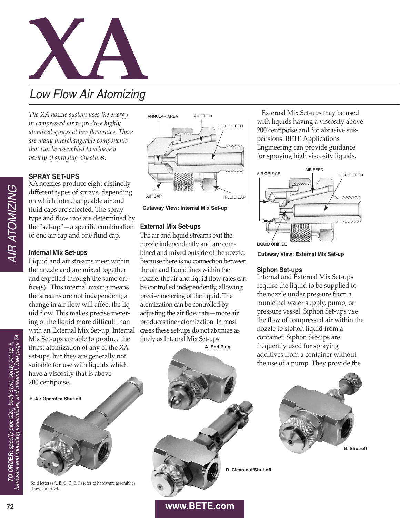

*The XA nozzle system uses the energy in compressed air to produce highly atomized sprays at low flow rates. There are many interchangeable components that can be assembled to achieve a variety of spraying objectives.*

# **SPRAY SET-UPS**

XA nozzles produce eight distinctly different types of sprays, depending on which interchangeable air and fluid caps are selected. The spray type and flow rate are determined by the "set-up" $-$ a specific combination of one air cap and one fluid cap.

## **Internal Mix Set-ups**

Liquid and air streams meet within the nozzle and are mixed together and expelled through the same orifice(s). This internal mixing means the streams are not independent; a change in air flow will affect the liquid flow. This makes precise metering of the liquid more difficult than with an External Mix Set-up. Internal Mix Set-ups are able to produce the finest atomization of any of the XA set-ups, but they are generally not suitable for use with liquids which have a viscosity that is above 200 centipoise.

**E. Air Operated Shut-off** 



Bold letters (A, B, C, D, E, F) refer to hardware assemblies shown on p. 74.





# **External Mix Set-ups**

The air and liquid streams exit the nozzle independently and are combined and mixed outside of the nozzle. Because there is no connection between the air and liquid lines within the nozzle, the air and liquid flow rates can be controlled independently, allowing precise metering of the liquid. The atomization can be controlled by adjusting the air flow rate—more air produces finer atomization. In most cases these set-ups do not atomize as finely as Internal Mix Set-ups.

**A. End Plug**

External Mix Set-ups may be used with liquids having a viscosity above 200 centipoise and for abrasive suspensions. BETE Applications Engineering can provide guidance for spraying high viscosity liquids.



**Cutaway View: External Mix Set-up**

## **Siphon Set-ups**

Internal and External Mix Set-ups require the liquid to be supplied to the nozzle under pressure from a municipal water supply, pump, or pressure vessel. Siphon Set-ups use the flow of compressed air within the nozzle to siphon liquid from a container. Siphon Set-ups are frequently used for spraying additives from a container without the use of a pump. They provide the



**D. Clean-out/Shut-off**

**www.BETE.com**

AIR ATOMIZING

**AIR ATOMIZING** 

**72**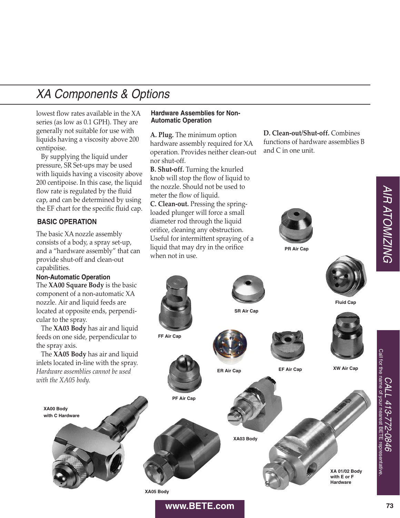lowest flow rates available in the XA series (as low as 0.1 GPH). They are generally not suitable for use with liquids having a viscosity above 200 centipoise.

By supplying the liquid under pressure, SR Set-ups may be used with liquids having a viscosity above 200 centipoise. In this case, the liquid flow rate is regulated by the fluid cap, and can be determined by using the EF chart for the specific fluid cap.

## **BASIC OPERATION**

The basic XA nozzle assembly consists of a body, a spray set-up, and a "hardware assembly" that can provide shut-off and clean-out capabilities.

# The **XA00 Square Body** is the basic **Non-Automatic Operation**

component of a non-automatic XA nozzle. Air and liquid feeds are located at opposite ends, perpendicular to the spray.

The **XA03 Body** has air and liquid feeds on one side, perpendicular to the spray axis.

The **XA05 Body** has air and liquid inlets located in-line with the spray. *Hardware assemblies cannot be used with the XA05 body.*

**XA00 Body with C Hardware**

#### **Hardware Assemblies for Non-Automatic Operation**

**A. Plug.** The minimum option hardware assembly required for XA operation. Provides neither clean-out nor shut-off.

**B. Shut-off.** Turning the knurled knob will stop the flow of liquid to the nozzle. Should not be used to meter the flow of liquid.

**C. Clean-out.** Pressing the springloaded plunger will force a small diameter rod through the liquid orifice, cleaning any obstruction. Useful for intermittent spraying of a liquid that may dry in the orifice when not in use.

**D. Clean-out/Shut-off.** Combines functions of hardware assemblies B and C in one unit.



**PR Air Cap**



**XA 01/02 Body with E or F Hardware**

**XA05 Body**

#### **www.BETE.com**

**PF Air Cap**

**FF Air Cap**

CALL 413-772-0846 Call for the name of your nearest BETE representative.

9780-2

Call for the name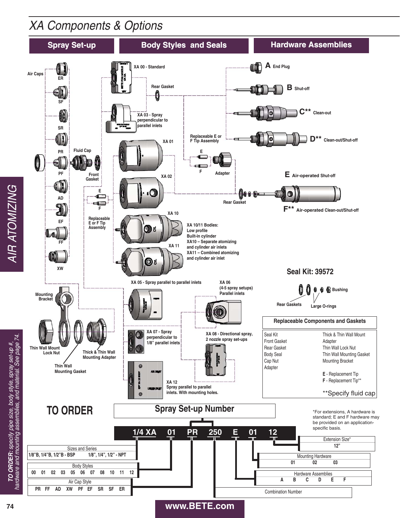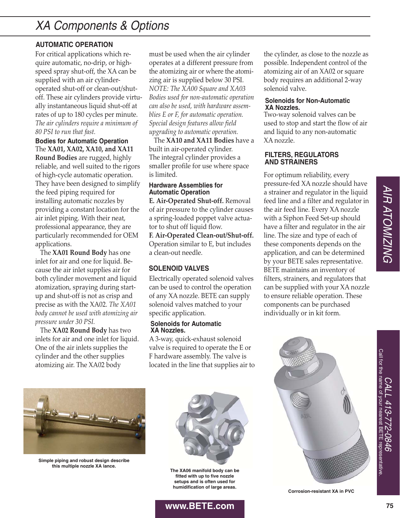# **AUTOMATIC OPERATION**

For critical applications which require automatic, no-drip, or highspeed spray shut-off, the XA can be supplied with an air cylinderoperated shut-off or clean-out/shutoff. These air cylinders provide virtually instantaneous liquid shut-off at rates of up to 180 cycles per minute. *The air cylinders require a minimum of 80 PSI to run that fast.*

The **XA01, XA02, XA10, and XA11 Round Bodies** are rugged, highly reliable, and well suited to the rigors of high-cycle automatic operation. They have been designed to simplify the feed piping required for installing automatic nozzles by providing a constant location for the air inlet piping. With their neat, professional appearance, they are particularly recommended for OEM applications. **Bodies for Automatic Operation**

The **XA01 Round Body** has one inlet for air and one for liquid. Because the air inlet supplies air for both cylinder movement and liquid atomization, spraying during startup and shut-off is not as crisp and precise as with the XA02. *The XA01 body cannot be used with atomizing air pressure under 30 PSI.*

The **XA02 Round Body** has two inlets for air and one inlet for liquid. One of the air inlets supplies the cylinder and the other supplies atomizing air. The XA02 body

must be used when the air cylinder operates at a different pressure from the atomizing air or where the atomizing air is supplied below 30 PSI. *NOTE: The XA00 Square and XA03 Bodies used for non-automatic operation can also be used, with hardware assemblies E or F, for automatic operation. Special design features allow field upgrading to automatic operation.*

The **XA10 and XA11 Bodies** have a built in air-operated cylinder. The integral cylinder provides a smaller profile for use where space is limited.

#### **Hardware Assemblies for Automatic Operation**

**E. Air-Operated Shut-off.** Removal of air pressure to the cylinder causes a spring-loaded poppet valve actuator to shut off liquid flow.

**F. Air-Operated Clean-out/Shut-off.** Operation similar to E, but includes a clean-out needle.

# **SOLENOID VALVES**

Electrically operated solenoid valves can be used to control the operation of any XA nozzle. BETE can supply solenoid valves matched to your specific application.

#### **Solenoids for Automatic XA Nozzles.**

A 3-way, quick-exhaust solenoid valve is required to operate the E or F hardware assembly. The valve is located in the line that supplies air to



**Simple piping and robust design describe this multiple nozzle XA lance.**



**The XA06 manifold body can be fitted with up to five nozzle setups and is often used for humidification of large areas.**

**www.BETE.com**

the cylinder, as close to the nozzle as possible. Independent control of the atomizing air of an XA02 or square body requires an additional 2-way solenoid valve.

#### **Solenoids for Non-Automatic XA Nozzles.**

Two-way solenoid valves can be used to stop and start the flow of air and liquid to any non-automatic XA nozzle.

#### **FILTERS, REGULATORS AND STRAINERS**

For optimum reliability, every pressure-fed XA nozzle should have a strainer and regulator in the liquid feed line and a filter and regulator in the air feed line. Every XA nozzle with a Siphon Feed Set-up should have a filter and regulator in the air line. The size and type of each of these components depends on the application, and can be determined by your BETE sales representative. BETE maintains an inventory of filters, strainers, and regulators that can be supplied with your XA nozzle to ensure reliable operation. These components can be purchased individually or in kit form.



**Corrosion-resistant XA in PVC**

CALL 413-772-0846 Call for the name of your nearest BETE representative.

**72-0846 BEIE** 

Call for the name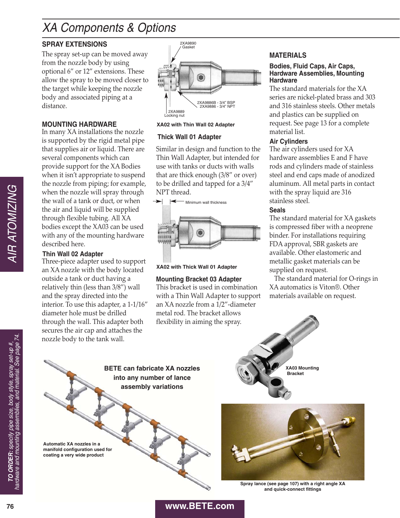# **SPRAY EXTENSIONS**

The spray set-up can be moved away from the nozzle body by using optional 6" or 12" extensions. These allow the spray to be moved closer to the target while keeping the nozzle body and associated piping at a distance.

# **MOUNTING HARDWARE**

In many XA installations the nozzle is supported by the rigid metal pipe that supplies air or liquid. There are several components which can provide support for the XA Bodies when it isn't appropriate to suspend the nozzle from piping; for example, when the nozzle will spray through the wall of a tank or duct, or when the air and liquid will be supplied through flexible tubing. All XA bodies except the XA03 can be used with any of the mounting hardware described here.

# **Thin Wall 02 Adapter**

Three-piece adapter used to support an XA nozzle with the body located outside a tank or duct having a relatively thin (less than 3/8") wall and the spray directed into the interior. To use this adapter, a  $1-1/16$ " diameter hole must be drilled through the wall. This adapter both secures the air cap and attaches the nozzle body to the tank wall. **76 EXECUTE: EXECUTE: 26 EXECUTE: 26 EXECUTE: 26 EXECUTE: 26 WHATOMIZING CONTRACT CONTRACT CONTRACT CONTRACT CONTRACT CONTRACT CONTRACT CONTRACT CONTRACT CONTRACT CONTRACT CONTRACT CONTRACT CONTRACT** 



#### **XA02 with Thin Wall 02 Adapter**

## **Thick Wall 01 Adapter**

Similar in design and function to the Thin Wall Adapter, but intended for use with tanks or ducts with walls that are thick enough (3/8" or over) to be drilled and tapped for a 3/4" NPT thread.



#### **XA02 with Thick Wall 01 Adapter**

## **Mounting Bracket 03 Adapter**

This bracket is used in combination with a Thin Wall Adapter to support an  $XA$  nozzle from a  $1/2$ "-diameter metal rod. The bracket allows flexibility in aiming the spray.

# **MATERIALS**

#### **Bodies, Fluid Caps, Air Caps, Hardware Assemblies, Mounting Hardware**

The standard materials for the XA series are nickel-plated brass and 303 and 316 stainless steels. Other metals and plastics can be supplied on request. See page 13 for a complete material list.

#### **Air Cylinders**

The air cylinders used for XA hardware assemblies E and F have rods and cylinders made of stainless steel and end caps made of anodized aluminum. All metal parts in contact with the spray liquid are 316 stainless steel.

## **Seals**

The standard material for XA gaskets is compressed fiber with a neoprene binder. For installations requiring FDA approval, SBR gaskets are available. Other elastomeric and metallic gasket materials can be supplied on request.

The standard material for O-rings in XA automatics is Viton®. Other materials available on request.



**BETE can fabricate XA nozzles into any number of lance assembly variations**

**Automatic XA nozzles in a manifold configuration used for coating a very wide product**



**XA03 Mounting Bracket**

**Spray lance (see page 107) with a right angle XA and quick-connect fittings**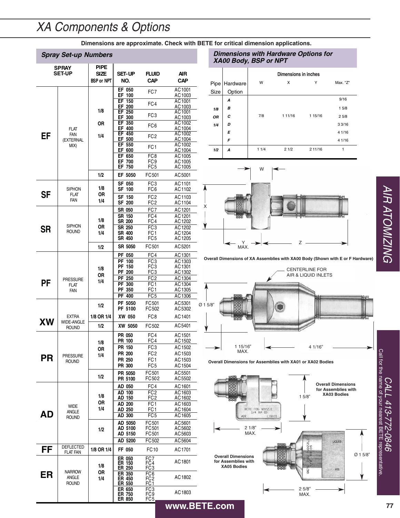**Dimensions are approximate. Check with BETE for critical dimension applications.**

# **Spray Set-up Numbers**

| <b>SPRAY</b><br><b>SET-UP</b> |                                                | <b>PIPE</b><br>SIZE<br><b>BSP or NPT</b> | <b>SET-UP</b><br>NO.              | FLUID<br><b>CAP</b>                       | AIR<br><b>CAP</b>          |  |  |
|-------------------------------|------------------------------------------------|------------------------------------------|-----------------------------------|-------------------------------------------|----------------------------|--|--|
| EF                            | <b>FLAT</b><br><b>FAN</b><br>(EXTERNAL<br>MIX) | 1/8<br>0R<br>1/4                         | EF 050<br>EF 100<br>EF 150        | FC7                                       | AC1001<br>AC1003<br>AC1001 |  |  |
|                               |                                                |                                          | EF 200<br>EF 250                  | FC4                                       | AC1003<br>AC1001           |  |  |
|                               |                                                |                                          | EF 300<br>EF 350                  | FC3                                       | AC1003<br>AC1002           |  |  |
|                               |                                                |                                          | EF 400                            | FC <sub>6</sub>                           | AC1004                     |  |  |
|                               |                                                |                                          | EF 450<br>EF 500                  | FC <sub>2</sub>                           | AC1002<br>AC1004           |  |  |
|                               |                                                |                                          | EF 550<br>EF 600                  | FC <sub>1</sub>                           | AC1002<br><u>AC 1004</u>   |  |  |
|                               |                                                |                                          | EF 650<br>EF 700                  | FC <sub>8</sub>                           | AC1005                     |  |  |
|                               |                                                |                                          | EF 750                            | FC9<br>FC5                                | AC1005<br>AC1005           |  |  |
|                               |                                                | 1/2                                      | EF 5050                           | FC501                                     | AC5001                     |  |  |
| <b>SF</b>                     | <b>SIPHON</b><br><b>FLAT</b><br>FAN            | 1/8<br>0R<br>1/4                         | SF 050<br>SF 100                  | FC3<br>FC6                                | AC1101<br>AC1102           |  |  |
|                               |                                                |                                          | SF 150<br>SF 200                  | FC <sub>2</sub><br>FC2                    | AC1103<br>AC1104           |  |  |
|                               |                                                |                                          | SR 050                            | FC7                                       | AC1201                     |  |  |
|                               |                                                | 1/8                                      | SR 150<br>SR 200                  | FC4<br>FC4                                | AC1201<br>AC1202           |  |  |
| SR                            | <b>SIPHON</b><br><b>ROUND</b>                  | OR<br>1/4                                | SR 250                            | FC <sub>3</sub>                           | AC1202                     |  |  |
|                               |                                                |                                          | SR 400<br>SR 450                  | FC <sub>1</sub><br>FC5                    | AC1204<br>AC 1205          |  |  |
|                               |                                                | 1/2                                      | SR 5050                           | FC501                                     | AC5201                     |  |  |
| PF                            | <b>PRESSURE</b><br><b>FLAT</b><br><b>FAN</b>   | 1/8<br>0R<br>1/4                         | PF 050<br>PF 100                  | FC4<br>FC <sub>3</sub>                    | AC1301<br>AC1303           |  |  |
|                               |                                                |                                          | PF 150                            | FC3                                       | AC1301                     |  |  |
|                               |                                                |                                          | PF 200<br>PF 250                  | FC3<br>FC2                                | AC1302<br>AC1304           |  |  |
|                               |                                                |                                          | PF 300                            | FC1                                       | AC1304                     |  |  |
|                               |                                                |                                          | PF 350<br><b>PF 400</b>           | FC1<br>FC <sub>5</sub>                    | AC 1305<br>AC1306          |  |  |
|                               |                                                | 1/2                                      | PF 5050<br>PF 5100                | FC501<br>FC502                            | AC5301<br>AC5302           |  |  |
|                               | <b>EXTRA</b>                                   | 1/8 OR 1/4                               | XW 050                            | FC <sub>8</sub>                           | AC1401                     |  |  |
| XW                            | <b>WIDE-ANGLE</b><br><b>ROUND</b>              | 1/2                                      | XW 5050                           | FC502                                     | AC5401                     |  |  |
|                               |                                                | 1/8                                      | <b>PR 050</b><br>PR 100           | FC4<br>FC4                                | AC1501<br>AC 1502          |  |  |
|                               |                                                | 0R                                       | PR 150                            | FC3                                       | AC1502                     |  |  |
| PR                            | <b>PRESSURE</b><br><b>ROUND</b>                | 1/4                                      | PR 200<br>PR 250                  | FC <sub>2</sub><br>FC1                    | AC1503<br>AC1503           |  |  |
|                               |                                                |                                          | PR 300                            | FC <sub>5</sub>                           | AC1504                     |  |  |
|                               |                                                | 1/2                                      | PR 5050<br>PR 5100                | FC501<br>FC502                            | AC5501<br>AC5502           |  |  |
|                               |                                                |                                          | AD 050                            | FC4                                       | AC1601                     |  |  |
| AD                            | <b>WIDE</b><br><b>ANGLE</b><br><b>ROUND</b>    | 1/8<br>OR<br>1/4                         | AD 100<br>AD 150                  | FC <sub>2</sub><br>FC2                    | AC1603<br>AC1602           |  |  |
|                               |                                                |                                          | AD 200                            | FC <sub>1</sub>                           | AC1603                     |  |  |
|                               |                                                |                                          | AD 250<br>AD 300                  | FC1<br>FC5                                | AC1604<br>AC1605           |  |  |
|                               |                                                | 1/2                                      | AD 5050                           | FC501                                     | AC5601                     |  |  |
|                               |                                                |                                          | AD 5100<br>AD 5150                | FC501<br>FC501                            | AC5602<br>AC5603           |  |  |
|                               |                                                |                                          | AD 5200                           | FC502                                     | AC5604                     |  |  |
| FF                            | DEFLECTED<br>FLAT FAN                          | 1/8 OR 1/4                               | FF 050                            | FC10                                      | AC1701                     |  |  |
|                               |                                                | 1/8                                      | ER 050<br>ER 150<br>ER 250        | FC7<br>FC4<br>FC <sub>3</sub>             | AC1801                     |  |  |
| ER                            | <b>NARROW</b><br>ANGLE<br><b>ROUND</b>         | OR<br>1/4                                | <b>ER 350</b><br>ER 450<br>ER 550 | FC6<br>FC2<br>FC1                         | AC1802                     |  |  |
|                               |                                                |                                          | ER 650<br>ER 750<br>ER 850        | FC <sub>3</sub><br>FC9<br>FC <sub>5</sub> | AC1803                     |  |  |

#### **Dimensions with Hardware Options for** *XA00 Body, BSP or NPT*

|      |          | Dimensions in inches |          |         |          |  |  |
|------|----------|----------------------|----------|---------|----------|--|--|
| Pipe | Hardware | W                    | X        | Υ       | Max. "Z" |  |  |
| Size | Option   |                      |          |         |          |  |  |
|      | A        |                      |          |         | 9/16     |  |  |
| 1/8  | В        |                      |          |         | 15/8     |  |  |
| OR   | с        | 7/8                  | 1 1 1/16 | 1 15/16 | 25/8     |  |  |
| 1/4  | D        |                      |          |         | 33/16    |  |  |
|      | E        |                      |          |         | 4 1/16   |  |  |
|      | F        |                      |          |         | 4 1/16   |  |  |
| 1/2  | A        | 11/4                 | 21/2     | 2 11/16 | 1        |  |  |



**Overall Dimensions of XA Assemblies with XA00 Body (Shown with E or F Hardware)**







**AIR ATOMIZING** 

**77** AIR ATOMIZING CALL 413-772-0846<br>Call for the name of your nearest BETE repre Call for the name of your nearest BETE representative. CALL 413-772-0846 representative